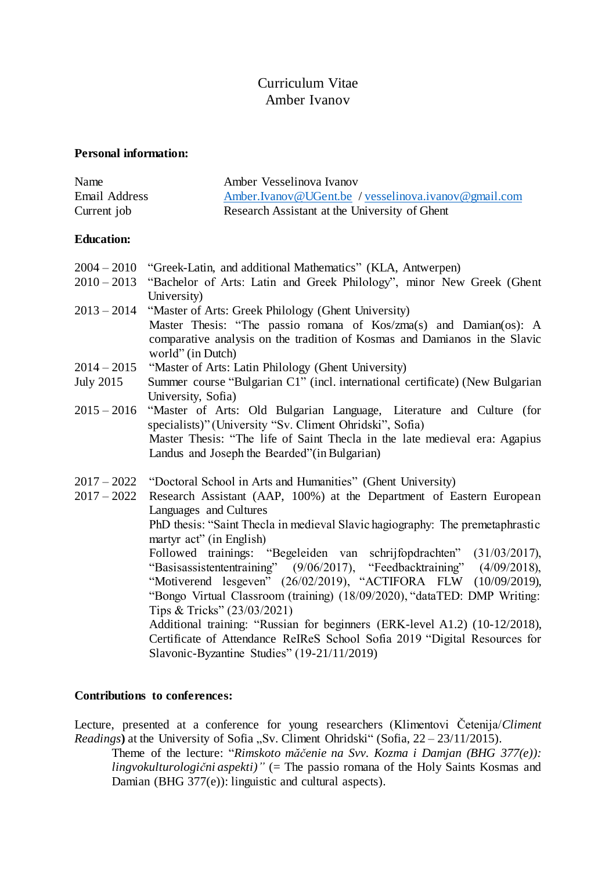# Curriculum Vitae Amber Ivanov

#### **Personal information:**

| Name          | Amber Vesselinova Ivanov                             |
|---------------|------------------------------------------------------|
| Email Address | Amber.Ivanov@UGent.be / vesselinova.ivanov@gmail.com |
| Current job   | Research Assistant at the University of Ghent        |

### **Education:**

- 2004 2010 "Greek-Latin, and additional Mathematics" (KLA, Antwerpen)
- 2010 2013 "Bachelor of Arts: Latin and Greek Philology", minor New Greek (Ghent University)
- 2013 2014 "Master of Arts: Greek Philology (Ghent University) Master Thesis: "The passio romana of Kos/zma(s) and Damian(os): A comparative analysis on the tradition of Kosmas and Damianos in the Slavic world" (in Dutch)
- 2014 2015 "Master of Arts: Latin Philology (Ghent University)
- July 2015 Summer course "Bulgarian C1" (incl. international certificate) (New Bulgarian University, Sofia)
- 2015 2016 "Master of Arts: Old Bulgarian Language, Literature and Culture (for specialists)" (University "Sv. Climent Ohridski", Sofia) Master Thesis: "The life of Saint Thecla in the late medieval era: Agapius Landus and Joseph the Bearded"(in Bulgarian)
- 2017 2022 "Doctoral School in Arts and Humanities" (Ghent University)

2017 – 2022 Research Assistant (AAP, 100%) at the Department of Eastern European Languages and Cultures PhD thesis: "Saint Thecla in medieval Slavic hagiography: The premetaphrastic martyr act" (in English) Followed trainings: "Begeleiden van schrijfopdrachten" (31/03/2017), "Basisassistententraining" (9/06/2017), "Feedbacktraining" (4/09/2018), "Motiverend lesgeven" (26/02/2019), "ACTIFORA FLW (10/09/2019), "Bongo Virtual Classroom (training) (18/09/2020), "dataTED: DMP Writing: Tips & Tricks" (23/03/2021) Additional training: "Russian for beginners (ERK-level A1.2) (10-12/2018), Certificate of Attendance ReIReS School Sofia 2019 "Digital Resources for Slavonic-Byzantine Studies" (19-21/11/2019)

### **Contributions to conferences:**

Lecture, presented at a conference for young researchers (Klimentovi Četenija/*Climent Readings*) at the University of Sofia "Sv. Climent Ohridski" (Sofia,  $22 - 23/11/2015$ ).

Theme of the lecture: "*Rimskoto măčenie na Svv. Kozma i Damjan (BHG 377(e)): lingvokulturologični aspekti)"* (= The passio romana of the Holy Saints Kosmas and Damian (BHG 377(e)): linguistic and cultural aspects).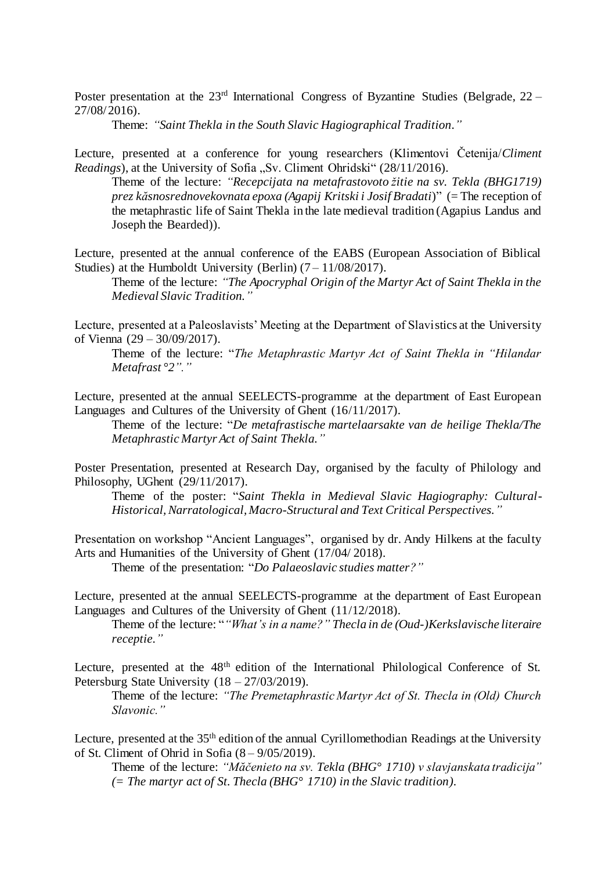Poster presentation at the 23<sup>rd</sup> International Congress of Byzantine Studies (Belgrade, 22 – 27/08/ 2016).

Theme: *"Saint Thekla in the South Slavic Hagiographical Tradition."*

Lecture, presented at a conference for young researchers (Klimentovi Četenija/*Climent Readings*), at the University of Sofia "Sv. Climent Ohridski" (28/11/2016).

Theme of the lecture: *"Recepcijata na metafrastovoto žitie na sv. Tekla (BHG1719) prez kăsnosrednovekovnata epoxa (Agapij Kritski i Josif Bradati*)" (= The reception of the metaphrastic life of Saint Thekla in the late medieval tradition (Agapius Landus and Joseph the Bearded)).

Lecture, presented at the annual conference of the EABS (European Association of Biblical Studies) at the Humboldt University (Berlin)  $(7 - 11/08/2017)$ .

Theme of the lecture: *"The Apocryphal Origin of the Martyr Act of Saint Thekla in the Medieval Slavic Tradition."*

Lecture, presented at a Paleoslavists' Meeting at the Department of Slavistics at the University of Vienna (29 – 30/09/2017).

Theme of the lecture: "*The Metaphrastic Martyr Act of Saint Thekla in "Hilandar Metafrast °2"."*

Lecture, presented at the annual SEELECTS-programme at the department of East European Languages and Cultures of the University of Ghent (16/11/2017).

Theme of the lecture: "*De metafrastische martelaarsakte van de heilige Thekla/The Metaphrastic Martyr Act of Saint Thekla."*

Poster Presentation, presented at Research Day, organised by the faculty of Philology and Philosophy, UGhent (29/11/2017).

Theme of the poster: "*Saint Thekla in Medieval Slavic Hagiography: Cultural-Historical, Narratological, Macro-Structural and Text Critical Perspectives."*

Presentation on workshop "Ancient Languages", organised by dr. Andy Hilkens at the faculty Arts and Humanities of the University of Ghent (17/04/ 2018).

Theme of the presentation: "*Do Palaeoslavic studies matter?"*

Lecture, presented at the annual SEELECTS-programme at the department of East European Languages and Cultures of the University of Ghent (11/12/2018).

Theme of the lecture: "*"What's in a name?" Thecla in de (Oud-)Kerkslavische literaire receptie."*

Lecture, presented at the 48<sup>th</sup> edition of the International Philological Conference of St. Petersburg State University (18 – 27/03/2019).

Theme of the lecture: *"The Premetaphrastic Martyr Act of St. Thecla in (Old) Church Slavonic."*

Lecture, presented at the 35<sup>th</sup> edition of the annual Cyrillomethodian Readings at the University of St. Climent of Ohrid in Sofia  $(8 - 9/05/2019)$ .

Theme of the lecture: *"Măčenieto na sv. Tekla (BHG° 1710) v slavjanskata tradicija" (= The martyr act of St. Thecla (BHG° 1710) in the Slavic tradition).*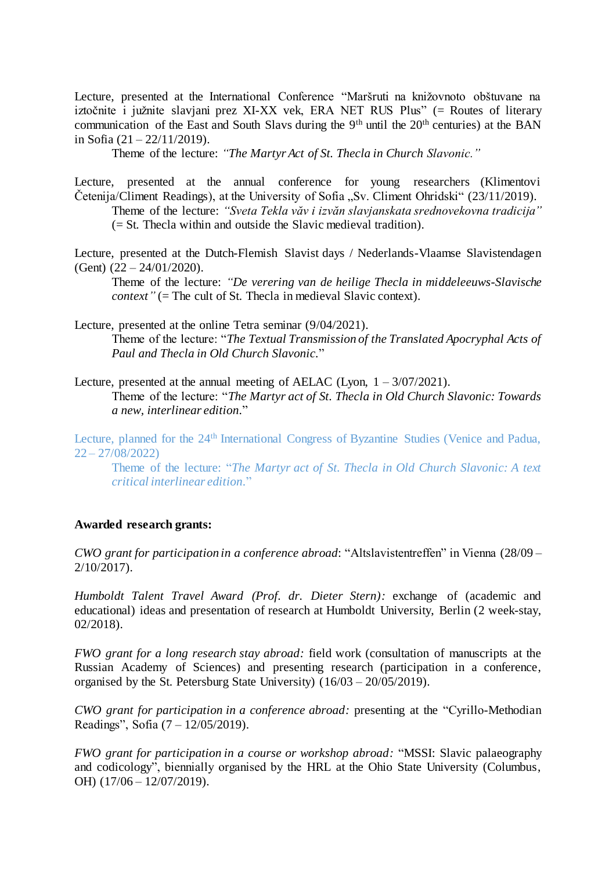Lecture, presented at the International Conference "Maršruti na knižovnoto obštuvane na iztočnite i južnite slavjani prez XI-XX vek, ERA NET RUS Plus" (= Routes of literary communication of the East and South Slavs during the  $9<sup>th</sup>$  until the  $20<sup>th</sup>$  centuries) at the BAN in Sofia (21 – 22/11/2019).

Theme of the lecture: *"The Martyr Act of St. Thecla in Church Slavonic."*

Lecture, presented at the annual conference for young researchers (Klimentovi Četenija/Climent Readings), at the University of Sofia "Sv. Climent Ohridski"  $(23/11/2019)$ .

Theme of the lecture: *"Sveta Tekla văv i izvăn slavjanskata srednovekovna tradicija"*

(= St. Thecla within and outside the Slavic medieval tradition).

Lecture, presented at the Dutch-Flemish Slavist days / Nederlands-Vlaamse Slavistendagen (Gent)  $(22 – 24/01/2020)$ .

Theme of the lecture: *"De verering van de heilige Thecla in middeleeuws-Slavische context*" (= The cult of St. Thecla in medieval Slavic context).

Lecture, presented at the online Tetra seminar (9/04/2021).

Theme of the lecture: "*The Textual Transmission of the Translated Apocryphal Acts of Paul and Thecla in Old Church Slavonic.*"

Lecture, presented at the annual meeting of AELAC (Lyon,  $1 - \frac{3}{07/2021}$ ). Theme of the lecture: "*The Martyr act of St. Thecla in Old Church Slavonic: Towards a new, interlinear edition.*"

Lecture, planned for the 24<sup>th</sup> International Congress of Byzantine Studies (Venice and Padua,  $22 - 27/08/2022$ 

Theme of the lecture: "*The Martyr act of St. Thecla in Old Church Slavonic: A text critical interlinear edition.*"

### **Awarded research grants:**

*CWO grant for participation in a conference abroad*: "Altslavistentreffen" in Vienna (28/09 – 2/10/2017).

*Humboldt Talent Travel Award (Prof. dr. Dieter Stern):* exchange of (academic and educational) ideas and presentation of research at Humboldt University, Berlin (2 week-stay, 02/2018).

*FWO grant for a long research stay abroad:* field work (consultation of manuscripts at the Russian Academy of Sciences) and presenting research (participation in a conference, organised by the St. Petersburg State University) (16/03 – 20/05/2019).

*CWO grant for participation in a conference abroad:* presenting at the "Cyrillo-Methodian Readings", Sofia (7 – 12/05/2019).

*FWO grant for participation in a course or workshop abroad:* "MSSI: Slavic palaeography and codicology", biennially organised by the HRL at the Ohio State University (Columbus, OH) (17/06 – 12/07/2019).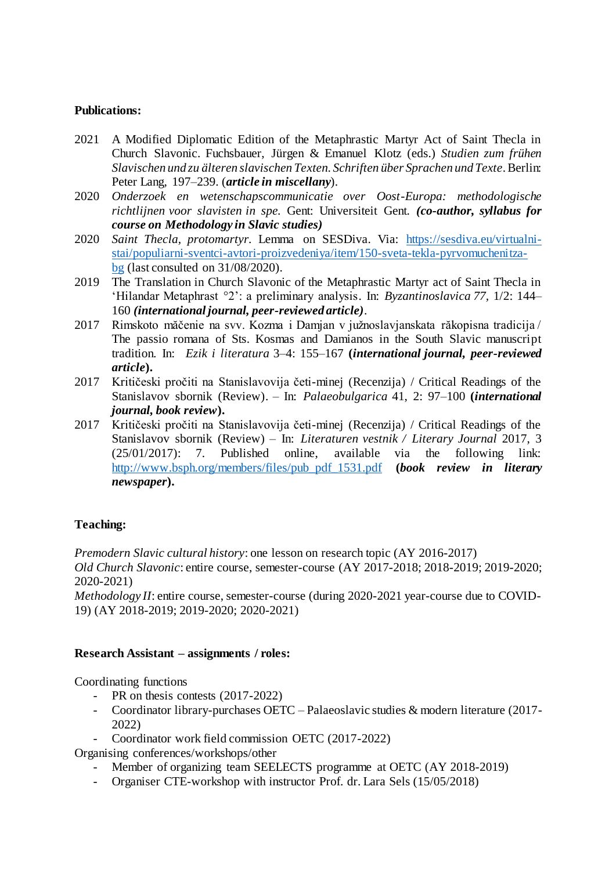### **Publications:**

- 2021 A Modified Diplomatic Edition of the Metaphrastic Martyr Act of Saint Thecla in Church Slavonic. Fuchsbauer, Jürgen & Emanuel Klotz (eds.) *Studien zum frühen Slavischen und zu älteren slavischen Texten. Schriften über Sprachen und Texte*. Berlin: Peter Lang, 197–239. (*article in miscellany*).
- 2020 *Onderzoek en wetenschapscommunicatie over Oost-Europa: methodologische richtlijnen voor slavisten in spe.* Gent: Universiteit Gent. *(co-author, syllabus for course on Methodology in Slavic studies)*
- 2020 *Saint Thecla, protomartyr.* Lemma on SESDiva. Via: [https://sesdiva.eu/virtualni](https://sesdiva.eu/virtualni-stai/populiarni-sventci-avtori-proizvedeniya/item/150-sveta-tekla-pyrvomuchenitza-bg)[stai/populiarni-sventci-avtori-proizvedeniya/item/150-sveta-tekla-pyrvomuchenitza](https://sesdiva.eu/virtualni-stai/populiarni-sventci-avtori-proizvedeniya/item/150-sveta-tekla-pyrvomuchenitza-bg)[bg](https://sesdiva.eu/virtualni-stai/populiarni-sventci-avtori-proizvedeniya/item/150-sveta-tekla-pyrvomuchenitza-bg) (last consulted on 31/08/2020).
- 2019 The Translation in Church Slavonic of the Metaphrastic Martyr act of Saint Thecla in 'Hilandar Metaphrast °2': a preliminary analysis. In: *Byzantinoslavica 77,* 1/2: 144– 160 *(international journal, peer-reviewed article)*.
- 2017 Rimskoto măčenie na svv. Kozma i Damjan v južnoslavjanskata răkopisna tradicija / The passio romana of Sts. Kosmas and Damianos in the South Slavic manuscript tradition. In: *Ezik i literatura* 3–4: 155–167 **(***international journal, peer-reviewed article***).**
- 2017 Kritičeski pročiti na Stanislavovija četi-minej (Recenzija) / Critical Readings of the Stanislavov sbornik (Review). – In: *Palaeobulgarica* 41, 2: 97–100 **(***international journal, book review***).**
- 2017 Kritičeski pročiti na Stanislavovija četi-minej (Recenzija) / Critical Readings of the Stanislavov sbornik (Review) – In: *Literaturen vestnik / Literary Journal* 2017, 3 (25/01/2017): 7. Published online, available via the following link: [http://www.bsph.org/members/files/pub\\_pdf\\_1531.pdf](http://www.bsph.org/members/files/pub_pdf_1531.pdf) **(***book review in literary newspaper***).**

## **Teaching:**

*Premodern Slavic cultural history*: one lesson on research topic (AY 2016-2017)

*Old Church Slavonic*: entire course, semester-course (AY 2017-2018; 2018-2019; 2019-2020; 2020-2021)

*Methodology II*: entire course, semester-course (during 2020-2021 year-course due to COVID-19) (AY 2018-2019; 2019-2020; 2020-2021)

### **Research Assistant – assignments / roles:**

Coordinating functions

- PR on thesis contests (2017-2022)
- Coordinator library-purchases OETC Palaeoslavic studies & modern literature (2017- 2022)
- Coordinator work field commission OETC (2017-2022)

Organising conferences/workshops/other

- Member of organizing team SEELECTS programme at OETC (AY 2018-2019)
- Organiser CTE-workshop with instructor Prof. dr. Lara Sels (15/05/2018)